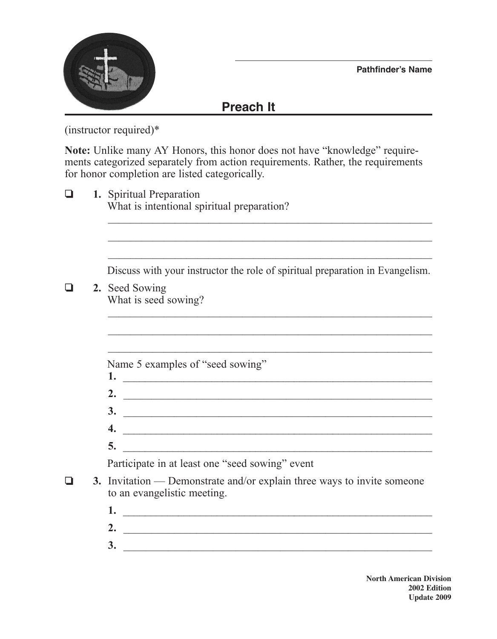



## **Preach It**

(instructor required)\*

**Note:** Unlike many AY Honors, this honor does not have "knowledge" requirements categorized separately from action requirements. Rather, the requirements for honor completion are listed categorically.

❏ **1.** Spiritual Preparation What is intentional spiritual preparation?  $\mathcal{L}_\text{max}$  , and the contract of the contract of the contract of the contract of the contract of the contract of the contract of the contract of the contract of the contract of the contract of the contract of the contr

Discuss with your instructor the role of spiritual preparation in Evangelism.

 $\mathcal{L}_\text{max}$  , and the contract of the contract of the contract of the contract of the contract of the contract of the contract of the contract of the contract of the contract of the contract of the contract of the contr

 $\mathcal{L}_\text{max}$  , and the contract of the contract of the contract of the contract of the contract of the contract of the contract of the contract of the contract of the contract of the contract of the contract of the contr

**1.** \_\_\_\_\_\_\_\_\_\_\_\_\_\_\_\_\_\_\_\_\_\_\_\_\_\_\_\_\_\_\_\_\_\_\_\_\_\_\_\_\_\_\_\_\_\_\_\_\_\_\_\_\_\_\_\_

 $\mathcal{L}_\text{max}$  , and the contract of the contract of the contract of the contract of the contract of the contract of the contract of the contract of the contract of the contract of the contract of the contract of the contr

❏ **2.** Seed Sowing What is seed sowing?

Name 5 examples of "seed sowing"

- **2.** \_\_\_\_\_\_\_\_\_\_\_\_\_\_\_\_\_\_\_\_\_\_\_\_\_\_\_\_\_\_\_\_\_\_\_\_\_\_\_\_\_\_\_\_\_\_\_\_\_\_\_\_\_\_\_ **3.** \_\_\_\_\_\_\_\_\_\_\_\_\_\_\_\_\_\_\_\_\_\_\_\_\_\_\_\_\_\_\_\_\_\_\_\_\_\_\_\_\_\_\_\_\_\_\_\_\_\_\_\_\_\_\_
- **4.** \_\_\_\_\_\_\_\_\_\_\_\_\_\_\_\_\_\_\_\_\_\_\_\_\_\_\_\_\_\_\_\_\_\_\_\_\_\_\_\_\_\_\_\_\_\_\_\_\_\_\_\_\_\_\_\_
- **5.** \_\_\_\_\_\_\_\_\_\_\_\_\_\_\_\_\_\_\_\_\_\_\_\_\_\_\_\_\_\_\_\_\_\_\_\_\_\_\_\_\_\_\_\_\_\_\_\_\_\_\_\_\_\_\_\_

Participate in at least one "seed sowing" event

- ❏ **3.** Invitation Demonstrate and/or explain three ways to invite someone to an evangelistic meeting.
	- **1.** \_\_\_\_\_\_\_\_\_\_\_\_\_\_\_\_\_\_\_\_\_\_\_\_\_\_\_\_\_\_\_\_\_\_\_\_\_\_\_\_\_\_\_\_\_\_\_\_\_\_\_\_\_\_\_\_
	- **2.** \_\_\_\_\_\_\_\_\_\_\_\_\_\_\_\_\_\_\_\_\_\_\_\_\_\_\_\_\_\_\_\_\_\_\_\_\_\_\_\_\_\_\_\_\_\_\_\_\_\_\_\_\_\_\_ **3.** \_\_\_\_\_\_\_\_\_\_\_\_\_\_\_\_\_\_\_\_\_\_\_\_\_\_\_\_\_\_\_\_\_\_\_\_\_\_\_\_\_\_\_\_\_\_\_\_\_\_\_\_\_\_\_
		- **North American Division 2002 Edition Update 2009**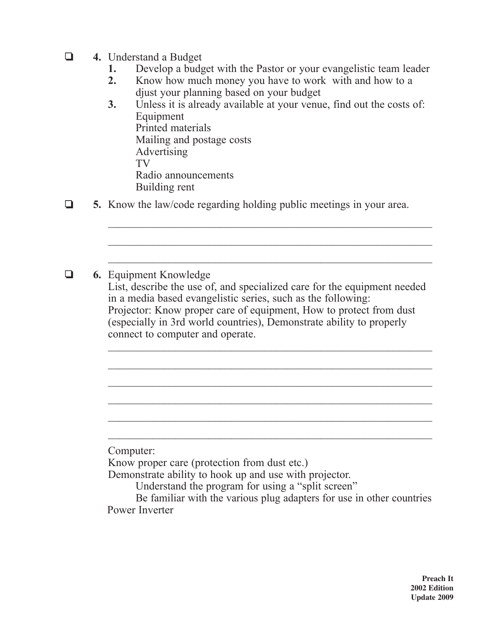- ❏ **4.** Understand a Budget
	- **1.** Develop a budget with the Pastor or your evangelistic team leader
	- **2.** Know how much money you have to work with and how to a djust your planning based on your budget
	- **3.** Unless it is already available at your venue, find out the costs of: Equipment Printed materials Mailing and postage costs Advertising TV Radio announcements Building rent

 $\mathcal{L}_\text{max}$  , and the contract of the contract of the contract of the contract of the contract of the contract of the contract of the contract of the contract of the contract of the contract of the contract of the contr

 $\mathcal{L}_\text{max}$  , and the contract of the contract of the contract of the contract of the contract of the contract of the contract of the contract of the contract of the contract of the contract of the contract of the contr

 $\mathcal{L}_\text{max}$  , and the contract of the contract of the contract of the contract of the contract of the contract of the contract of the contract of the contract of the contract of the contract of the contract of the contr

 $\mathcal{L}_\text{max}$  and the contract of the contract of the contract of the contract of the contract of the contract of

❏ **5.** Know the law/code regarding holding public meetings in your area.

❏ **6.** Equipment Knowledge List, describe the use of, and specialized care for the equipment needed in a media based evangelistic series, such as the following: Projector: Know proper care of equipment, How to protect from dust (especially in 3rd world countries), Demonstrate ability to properly connect to computer and operate.  $\mathcal{L}_\text{max}$  and the contract of the contract of the contract of the contract of the contract of the contract of

Computer:

Know proper care (protection from dust etc.)

Demonstrate ability to hook up and use with projector.

Understand the program for using a "split screen"

Be familiar with the various plug adapters for use in other countries Power Inverter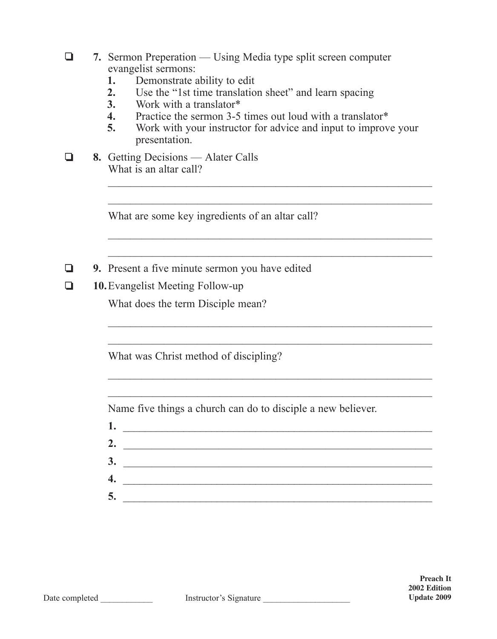|   | 7. Sermon Preperation — Using Media type split screen computer<br>evangelist sermons:<br>Demonstrate ability to edit<br>1.<br>2.<br>Use the "1st time translation sheet" and learn spacing<br>3.<br>Work with a translator*<br>$\overline{4}$ .<br>Practice the sermon 3-5 times out loud with a translator*<br>5.<br>Work with your instructor for advice and input to improve your<br>presentation. |
|---|-------------------------------------------------------------------------------------------------------------------------------------------------------------------------------------------------------------------------------------------------------------------------------------------------------------------------------------------------------------------------------------------------------|
|   | 8. Getting Decisions — Alater Calls<br>What is an altar call?                                                                                                                                                                                                                                                                                                                                         |
|   | What are some key ingredients of an altar call?                                                                                                                                                                                                                                                                                                                                                       |
| ❏ | 9. Present a five minute sermon you have edited<br><b>10.</b> Evangelist Meeting Follow-up                                                                                                                                                                                                                                                                                                            |
|   | What does the term Disciple mean?                                                                                                                                                                                                                                                                                                                                                                     |
|   | What was Christ method of discipling?                                                                                                                                                                                                                                                                                                                                                                 |
|   | Name five things a church can do to disciple a new believer.                                                                                                                                                                                                                                                                                                                                          |
|   | 2. $\overline{\phantom{a}}$                                                                                                                                                                                                                                                                                                                                                                           |
|   | $\overline{\mathbf{3.}}$                                                                                                                                                                                                                                                                                                                                                                              |
|   | 4.<br><u> Alexandria de la contrada de la contrada de la contrada de la contrada de la contrada de la contrada de la c</u>                                                                                                                                                                                                                                                                            |
|   | 5.                                                                                                                                                                                                                                                                                                                                                                                                    |